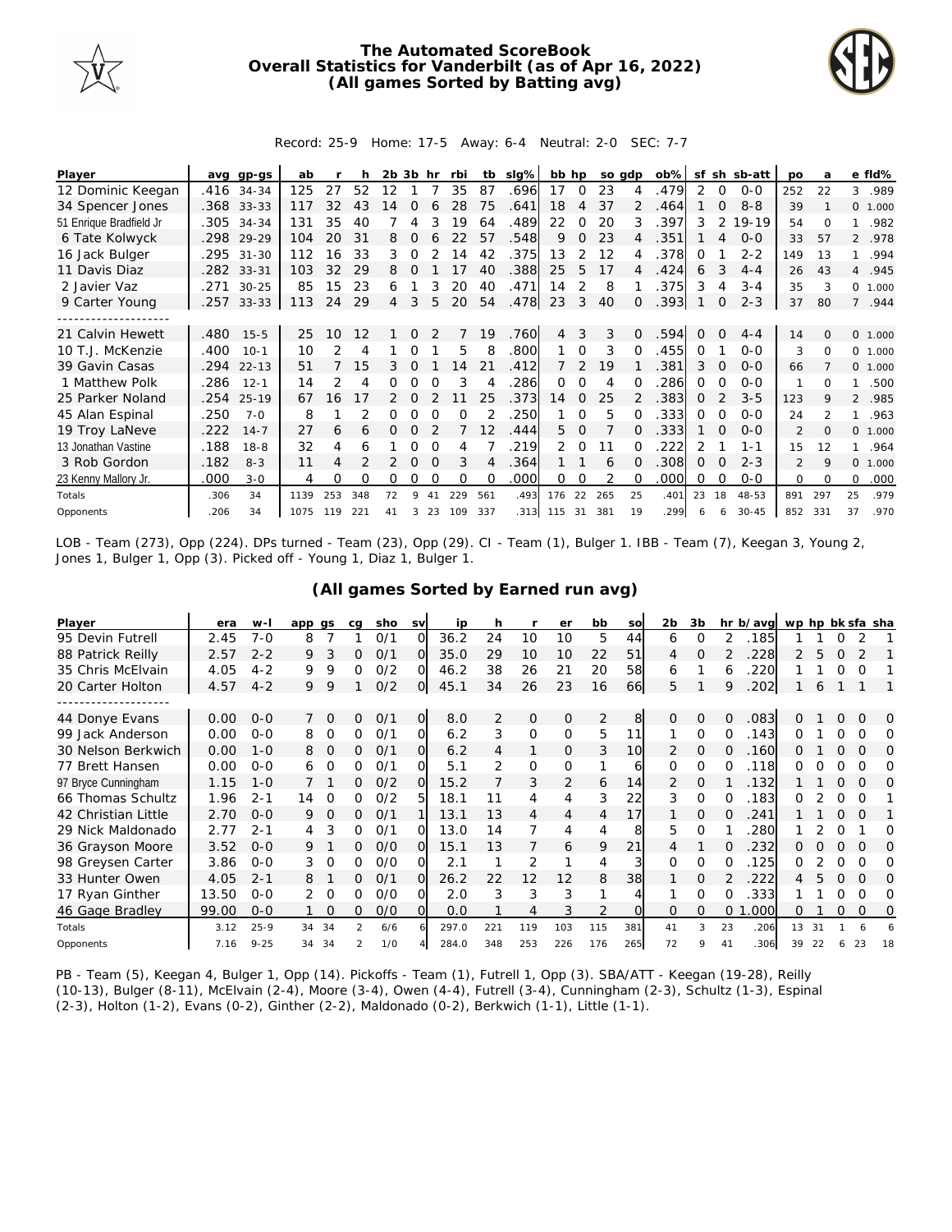

## **The Automated ScoreBook Overall Statistics for Vanderbilt (as of Apr 16, 2022) (All games Sorted by Batting avg)**



## Record: 25-9 Home: 17-5 Away: 6-4 Neutral: 2-0 SEC: 7-7

| Player                  | ava  | gp-gs      | ab   |     |     | 2b | 3b       | hr            | rbi      | tb  | slg% | bb hp |               | so adp |          | $ob\%$ | sf       | sh       | sb-att    | <b>DO</b>      | a             |                | e fld%  |
|-------------------------|------|------------|------|-----|-----|----|----------|---------------|----------|-----|------|-------|---------------|--------|----------|--------|----------|----------|-----------|----------------|---------------|----------------|---------|
| 12 Dominic Keegan       |      | .416 34-34 | 125  | 27  | 52  | 12 |          |               | 35       | 87  | .696 | 17    | $\Omega$      | 23     | 4        | .479   | 2        | $\Omega$ | $O-O$     | 252            | 22            | 3              | .989    |
| 34 Spencer Jones        |      | .368 33-33 | 117  | 32  | 43  | 14 |          |               | 28       | 75  | .641 | 18    | 4             | 37     |          | .464   |          |          | $8 - 8$   | 39             |               |                | 0 1.000 |
| 51 Enrique Bradfield Jr | .305 | $34 - 34$  | 131  | 35  | 40  |    |          |               | 19       | 64  | 489  | 22    | 0             | 20     | 3        | 397    | 3        |          | 19-19     | 54             | $\Omega$      |                | .982    |
| 6 Tate Kolwyck          | .298 | 29-29      | 104  | 20  | 31  | 8  | O        | 6             | 22       | 57  | .548 | 9     | 0             | 23     | 4        | .351   |          | 4        | $O-O$     | 33             | 57            |                | 2 .978  |
| 16 Jack Bulger          | .295 | $31 - 30$  | 112  | 16  | 33  | 3  | 0        |               | 14       | 42  | .375 | 13    | 2             | 12     | 4        | .378   | 0        |          | $2 - 2$   | 149            | 13            |                | .994    |
| 11 Davis Diaz           | .282 | $33 - 31$  | 103  | 32  | 29  | 8  |          |               |          | 40  | 388  | 25    | 5             | 17     | 4        | .424   | 6        | 3        | $4 - 4$   | 26             | 43            | $\overline{4}$ | .945    |
| 2 Javier Vaz            | .271 | $30 - 25$  | 85   | 15  | 23  | 6  |          | 3             | 20       | 40  | .471 | 14    | 2             | 8      |          | .375   | 3        | 4        | $3 - 4$   | 35             | 3             |                | 0 1.000 |
| 9 Carter Young          |      | .257 33-33 | 113  | 24  | 29  | 4  | 3        | 5             | 20       | 54  | .478 | 23    | 3             | 40     | 0        | .393   |          | $\Omega$ | $2 - 3$   | 37             | 80            | $\overline{7}$ | .944    |
|                         |      |            |      |     |     |    |          |               |          |     |      |       |               |        |          |        |          |          |           |                |               |                |         |
| 21 Calvin Hewett        | .480 | $15 - 5$   | 25   | 10  | 12  |    | 0        | $\mathcal{P}$ | 7        | 19  | .760 | 4     | 3             | 3      | $\Omega$ | .594   | $\Omega$ | $\Omega$ | $4 - 4$   | 14             | $\Omega$      |                | 0 1.000 |
| 10 T.J. McKenzie        | .400 | $10-1$     | 10   | 2   | 4   |    |          |               | 5.       | 8   | .800 |       | $\Omega$      | 3      |          | .455   | Ω        |          | $0 - 0$   | 3              | $\Omega$      | $\Omega$       | 1.000   |
| 39 Gavin Casas          | .294 | $22 - 13$  | 51   |     | 15  | 3  |          |               | 14       | 21  | 412  |       | $\mathcal{P}$ | 19     |          | .381   | 3        |          | $0 - 0$   | 66             |               | $\Omega$       | 1.000   |
| 1 Matthew Polk          | .286 | $12 - 1$   | 14   | 2   | 4   | 0  | Ω        |               | 3        | 4   | .286 | 0     | 0             | 4      | 0        | 286    | Ω        | $\Omega$ | $O-O$     | 1              | ∩             | 1              | .500    |
| 25 Parker Noland        | .254 | $25-19$    | 67   | 16  |     |    | Ω        |               |          | 25  | .373 | 14    | $\Omega$      | 25     |          | .383   | $\Omega$ |          | $3 - 5$   | 123            | 9             | $\mathcal{L}$  | .985    |
| 45 Alan Espinal         | .250 | $7 - 0$    | 8    |     |     |    |          |               |          |     | 250  |       | $\Omega$      | 5      |          | .333   | Ω        |          | $O-O$     | 24             | $\mathcal{P}$ |                | .963    |
| 19 Troy LaNeve          | .222 | $14 - 7$   | 27   | 6   | 6   | Ω  | O        |               |          | 12  | 444  | 5.    | $\Omega$      |        | O.       | .333   |          | $\Omega$ | $O-O$     | $\overline{2}$ | $\Omega$      | $\Omega$       | 1.000   |
| 13 Jonathan Vastine     | .188 | $18 - 8$   | 32   | 4   | 6   |    |          |               |          |     | .219 | 2     | $\Omega$      |        |          | 222    |          |          | 1-1       | 15             | 12            |                | .964    |
| 3 Rob Gordon            | .182 | $8 - 3$    | 11   | 4   |     |    | $\Omega$ |               | 3        | 4   | .364 |       |               | 6      |          | .308   | Ω        |          | $2 - 3$   | $\mathfrak{D}$ | $\mathsf Q$   | $\Omega$       | 1.000   |
| 23 Kenny Mallory Jr.    | .000 | $3 - 0$    | 4    | Ω   | 0   | Ω  | Ω        | ∩             | $\Omega$ | ∩   | .000 | 0     | 0             | 2      | 0        | .000   | Ω        | ∩        | $O-O$     | $\Omega$       | $\Omega$      | $\Omega$       | .000    |
| Totals                  | .306 | 34         | 1139 | 253 | 348 | 72 | 9        | 41            | 229      | 561 | .493 | 176   | 22            | 265    | 25       | .401   | 23       | 18       | 48-53     | 891            | 297           | 25             | .979    |
| Opponents               | .206 | 34         | 1075 | 119 | 221 | 41 | 3        | 23            | 109      | 337 | .313 | 115   | 31            | 381    | 19       | .299   |          | 6        | $30 - 45$ | 852            | 331           | 37             | .970    |

LOB - Team (273), Opp (224). DPs turned - Team (23), Opp (29). CI - Team (1), Bulger 1. IBB - Team (7), Keegan 3, Young 2, Jones 1, Bulger 1, Opp (3). Picked off - Young 1, Diaz 1, Bulger 1.

| Player              | era   | $W -$    | app | as       | ca | sho | <b>SV</b> | ip    | h   |                | er             | bb             | SO       | 2 <sub>b</sub> | 3 <sub>b</sub> |          | hr b/avg | wp hp bk sfa sha |    |          |          |          |
|---------------------|-------|----------|-----|----------|----|-----|-----------|-------|-----|----------------|----------------|----------------|----------|----------------|----------------|----------|----------|------------------|----|----------|----------|----------|
| 95 Devin Futrell    | 2.45  | $7 - 0$  | 8   |          |    | 0/1 | $\Omega$  | 36.2  | 24  | 10             | 10             | 5              | 44       | 6              | 0              | 2        | .185     |                  |    | O        |          |          |
| 88 Patrick Reilly   | 2.57  | $2 - 2$  | 9   | 3        | 0  | 0/1 | O.        | 35.0  | 29  | 10             | 10             | 22             | 51       | 4              | 0              |          | 228      |                  |    |          |          |          |
| 35 Chris McElvain   | 4.05  | $4 - 2$  | 9   | 9        | 0  | O/2 | O.        | 46.2  | 38  | 26             | 21             | 20             | 58       | 6              |                | 6        | 220      |                  |    | 0        | $\Omega$ |          |
| 20 Carter Holton    | 4.57  | $4 - 2$  | 9   | 9        |    | O/2 | ΟI        | 45.1  | 34  | 26             | 23             | 16             | 66       | 5              |                | 9        | 202      |                  | 6  |          |          |          |
| . <b>.</b> .        |       |          |     |          |    |     |           |       |     |                |                |                |          |                |                |          |          |                  |    |          |          |          |
| 44 Donye Evans      | 0.00  | $0 - 0$  |     | $\Omega$ | 0  | O/1 | O         | 8.0   | 2   | $\overline{O}$ | $\overline{O}$ | 2              | 8        | $\Omega$       | $\Omega$       | $\Omega$ | .083     | 0                |    | $\Omega$ | $\Omega$ | $\Omega$ |
| 99 Jack Anderson    | 0.00  | $O - O$  | 8   | 0        | 0  | 0/1 | O.        | 6.2   | 3   | 0              | $\mathbf 0$    | 5              | 11       |                | 0              |          | 143      | 0                |    | O        | O        | Ω        |
| 30 Nelson Berkwich  | 0.00  | $1 - 0$  | 8   | 0        | 0  | 0/1 | O.        | 6.2   | 4   | 1              | 0              | 3              | 10       | 2              | 0              | $\Omega$ | .160     | 0                |    | 0        | 0        | 0        |
| 77 Brett Hansen     | 0.00  | $O - O$  | 6   | 0        | 0  | 0/1 | O         | 5.1   | 2   | O              | 0              |                | 61       | 0              | 0              |          | 118      | Ω                |    |          | O        | O        |
| 97 Bryce Cunningham | 1.15  | $1 - 0$  |     |          | 0. | O/2 | $\Omega$  | 15.2  |     | 3              | $\overline{2}$ | 6              | 14       | 2              | $\Omega$       |          | .132     |                  |    | Ω        | $\Omega$ | Ω        |
| 66 Thomas Schultz   | 1.96  | $2 - 1$  | 14  | $\Omega$ | 0  | O/2 | 5         | 18.1  |     | 4              | 4              | 3              | 22       | 3              | $\Omega$       |          | 183      | 0                |    | $\Omega$ | $\Omega$ |          |
| 42 Christian Little | 2.70  | $O - O$  | 9   | 0        | Ω  | O/1 |           | 13.1  | 13  | $\overline{4}$ | 4              | 4              | 17       |                | 0              | $\Omega$ | 241      |                  |    | 0        | $\Omega$ |          |
| 29 Nick Maldonado   | 2.77  | $2 - 1$  | 4   | 3        | 0  | O/1 | 0.        | 13.0  | 14  |                | 4              | 4              | 8        | 5              | $\Omega$       |          | 280      |                  |    |          |          | O        |
| 36 Grayson Moore    | 3.52  | $O - O$  | 9   |          | 0  | O/O | $\Omega$  | 15.1  | 1.3 | 7              | 6              | 9              | 21       | 4              |                |          | 232      | 0                |    | $\Omega$ | $\Omega$ | O        |
| 98 Greysen Carter   | 3.86  | $0 - 0$  | 3   | $\Omega$ | 0  | O/O | വ         | 2.1   |     | 2              |                | 4              |          | 0              | $\Omega$       | ∩        | 125      | 0                |    | 0        | ∩        | Ω        |
| 33 Hunter Owen      | 4.05  | $2 - 1$  | 8   |          | 0  | 0/1 | $\Omega$  | 26.2  | 22  | 12             | 12             | 8              | 38       |                | $\Omega$       |          | 222      | 4                | 5  | $\Omega$ | $\Omega$ | O        |
| 17 Ryan Ginther     | 13.50 | $O - O$  |     | 0        | 0  | O/O | 0         | 2.0   | 3   | 3              | 3              |                |          |                | $\Omega$       | 0        | .333     |                  |    | Ω        | O        | O        |
| 46 Gage Bradley     | 99.00 | $O - O$  |     | O        | 0  | O/O | $\Omega$  | 0.0   |     | 4              | 3              | $\overline{2}$ | $\Omega$ | 0              | $\Omega$       | 0        | 000      | 0                |    | $\Omega$ | $\Omega$ | 0        |
| Totals              | 3.12  | $25 - 9$ | 34  | -34      | 2  | 6/6 |           | 297.0 | 221 | 119            | 103            | 115            | 381      | 41             | 3              | 23       | .206     | 13               | 31 |          |          | 6        |
| Opponents           | 7.16  | $9 - 25$ | 34  | 34       | 2  | 1/0 |           | 284.0 | 348 | 253            | 226            | 176            | 265      | 72             | 9              | 41       | 306      | 39               | 22 | 6        | 23       | 18       |

## **(All games Sorted by Earned run avg)**

PB - Team (5), Keegan 4, Bulger 1, Opp (14). Pickoffs - Team (1), Futrell 1, Opp (3). SBA/ATT - Keegan (19-28), Reilly (10-13), Bulger (8-11), McElvain (2-4), Moore (3-4), Owen (4-4), Futrell (3-4), Cunningham (2-3), Schultz (1-3), Espinal (2-3), Holton (1-2), Evans (0-2), Ginther (2-2), Maldonado (0-2), Berkwich (1-1), Little (1-1).